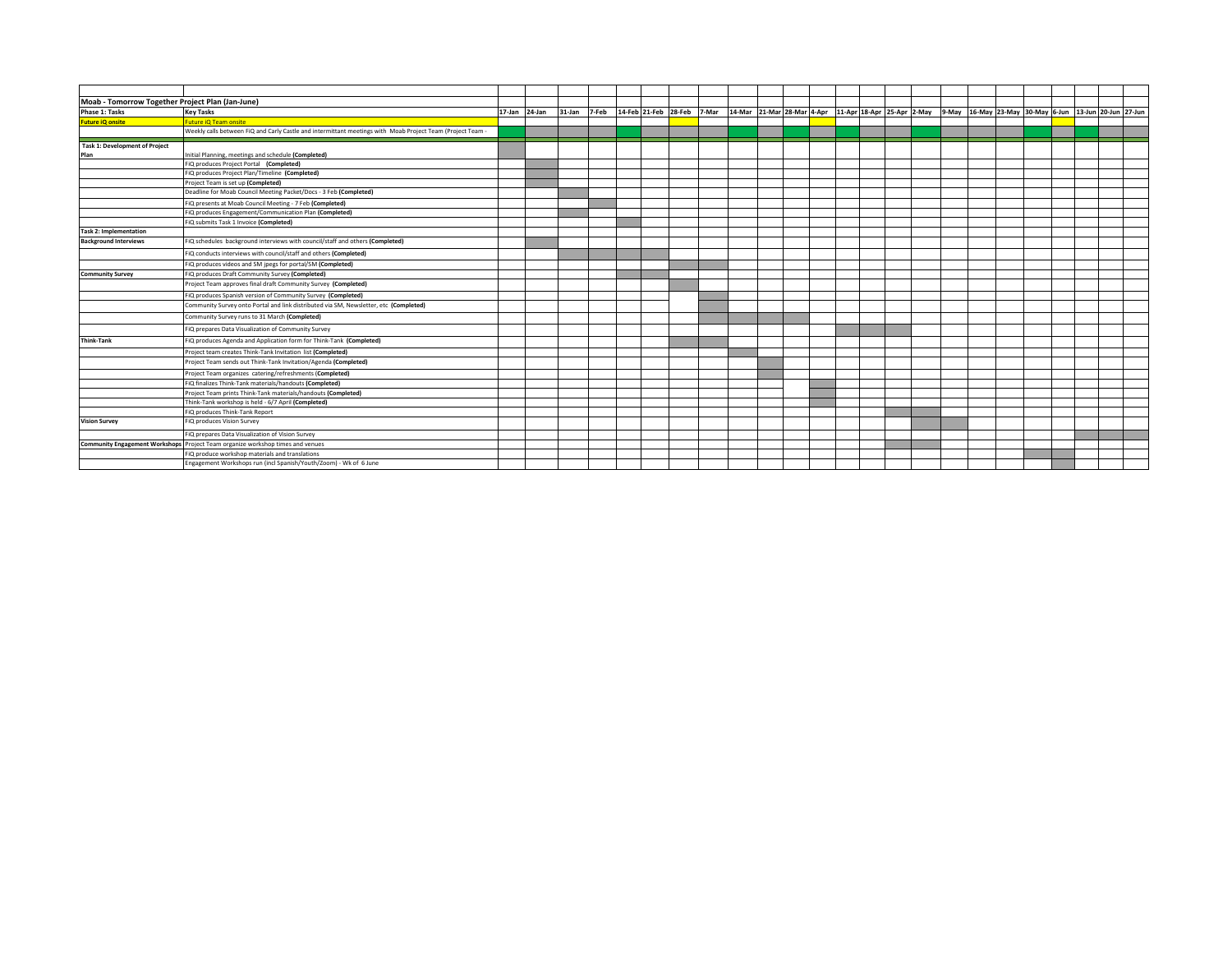| Moab - Tomorrow Together Project Plan (Jan-June) |                                                                                                            |               |        |       |                      |       |                                                                                                             |  |  |  |  |  |  |  |
|--------------------------------------------------|------------------------------------------------------------------------------------------------------------|---------------|--------|-------|----------------------|-------|-------------------------------------------------------------------------------------------------------------|--|--|--|--|--|--|--|
| Phase 1: Tasks                                   | <b>Key Tasks</b>                                                                                           | 17-Jan 24-Jan | 31-Jan | 7-Feb | 14-Feb 21-Feb 28-Feb | 7-Mar | 11-Apr 21-Mar 28-Mar 4-Apr 11-Apr 18-Apr 25-Apr 2-May 9-May 16-May 23-May 30-May 6-Jun 13-Jun 20-Jun 27-Jun |  |  |  |  |  |  |  |
| <b>Future iQ onsite</b>                          | uture iQ Team onsite                                                                                       |               |        |       |                      |       |                                                                                                             |  |  |  |  |  |  |  |
|                                                  | Weekly calls between FiQ and Carly Castle and intermittant meetings with Moab Project Team (Project Team - |               |        |       |                      |       |                                                                                                             |  |  |  |  |  |  |  |
| <b>Task 1: Development of Project</b>            |                                                                                                            |               |        |       |                      |       |                                                                                                             |  |  |  |  |  |  |  |
| Plan                                             | Initial Planning, meetings and schedule (Completed)                                                        |               |        |       |                      |       |                                                                                                             |  |  |  |  |  |  |  |
|                                                  | FiQ produces Project Portal (Completed)                                                                    |               |        |       |                      |       |                                                                                                             |  |  |  |  |  |  |  |
|                                                  | FiQ produces Project Plan/Timeline (Completed)                                                             |               |        |       |                      |       |                                                                                                             |  |  |  |  |  |  |  |
|                                                  | Project Team is set up (Completed)                                                                         |               |        |       |                      |       |                                                                                                             |  |  |  |  |  |  |  |
|                                                  | Deadline for Moab Council Meeting Packet/Docs - 3 Feb (Completed)                                          |               |        |       |                      |       |                                                                                                             |  |  |  |  |  |  |  |
|                                                  | FiQ presents at Moab Council Meeting - 7 Feb (Completed)                                                   |               |        |       |                      |       |                                                                                                             |  |  |  |  |  |  |  |
|                                                  | FiQ produces Engagement/Communication Plan (Completed)                                                     |               |        |       |                      |       |                                                                                                             |  |  |  |  |  |  |  |
|                                                  | FiQ submits Task 1 Invoice (Completed)                                                                     |               |        |       |                      |       |                                                                                                             |  |  |  |  |  |  |  |
| <b>Task 2: Implementation</b>                    |                                                                                                            |               |        |       |                      |       |                                                                                                             |  |  |  |  |  |  |  |
| <b>Background Interviews</b>                     | FiQ schedules background interviews with council/staff and others (Completed)                              |               |        |       |                      |       |                                                                                                             |  |  |  |  |  |  |  |
|                                                  | FiQ conducts interviews with council/staff and others (Completed)                                          |               |        |       |                      |       |                                                                                                             |  |  |  |  |  |  |  |
|                                                  | FiQ produces videos and SM jpegs for portal/SM (Completed)                                                 |               |        |       |                      |       |                                                                                                             |  |  |  |  |  |  |  |
| <b>Community Survey</b>                          | FIQ produces Draft Community Survey (Completed)                                                            |               |        |       |                      |       |                                                                                                             |  |  |  |  |  |  |  |
|                                                  | Project Team approves final draft Community Survey (Completed)                                             |               |        |       |                      |       |                                                                                                             |  |  |  |  |  |  |  |
|                                                  | FIQ produces Spanish version of Community Survey (Completed)                                               |               |        |       |                      |       |                                                                                                             |  |  |  |  |  |  |  |
|                                                  | Community Survey onto Portal and link distributed via SM, Newsletter, etc (Completed)                      |               |        |       |                      |       |                                                                                                             |  |  |  |  |  |  |  |
|                                                  | Community Survey runs to 31 March (Completed)                                                              |               |        |       |                      |       |                                                                                                             |  |  |  |  |  |  |  |
|                                                  | FiQ prepares Data Visualization of Community Survey                                                        |               |        |       |                      |       |                                                                                                             |  |  |  |  |  |  |  |
| Think-Tank                                       | FiQ produces Agenda and Application form for Think-Tank (Completed)                                        |               |        |       |                      |       |                                                                                                             |  |  |  |  |  |  |  |
|                                                  | Project team creates Think-Tank Invitation list (Completed)                                                |               |        |       |                      |       |                                                                                                             |  |  |  |  |  |  |  |
|                                                  | Project Team sends out Think-Tank Invitation/Agenda (Completed)                                            |               |        |       |                      |       |                                                                                                             |  |  |  |  |  |  |  |
|                                                  | Project Team organizes catering/refreshments (Completed)                                                   |               |        |       |                      |       |                                                                                                             |  |  |  |  |  |  |  |
|                                                  | FiQ finalizes Think-Tank materials/handouts (Completed)                                                    |               |        |       |                      |       |                                                                                                             |  |  |  |  |  |  |  |
|                                                  | Project Team prints Think-Tank materials/handouts (Completed)                                              |               |        |       |                      |       |                                                                                                             |  |  |  |  |  |  |  |
|                                                  | Think-Tank workshop is held - 6/7 April (Completed)                                                        |               |        |       |                      |       |                                                                                                             |  |  |  |  |  |  |  |
|                                                  | FiQ produces Think-Tank Report                                                                             |               |        |       |                      |       |                                                                                                             |  |  |  |  |  |  |  |
| <b>Vision Survey</b>                             | FiQ produces Vision Survey                                                                                 |               |        |       |                      |       |                                                                                                             |  |  |  |  |  |  |  |
|                                                  | FiQ prepares Data Visualization of Vision Survey                                                           |               |        |       |                      |       |                                                                                                             |  |  |  |  |  |  |  |
|                                                  | Community Engagement Workshops Project Team organize workshop times and venues                             |               |        |       |                      |       |                                                                                                             |  |  |  |  |  |  |  |
|                                                  | FiQ produce workshop materials and translations                                                            |               |        |       |                      |       |                                                                                                             |  |  |  |  |  |  |  |
|                                                  | Engagement Workshops run (incl Spanish/Youth/Zoom) - Wk of 6 June                                          |               |        |       |                      |       |                                                                                                             |  |  |  |  |  |  |  |